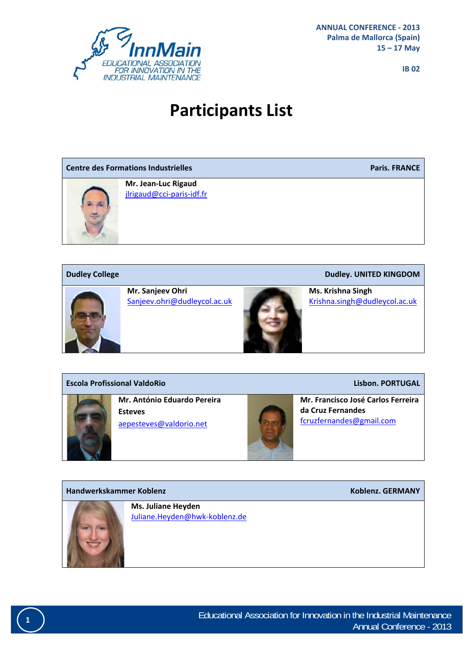

# **Participants List**

| <b>Centre des Formations Industrielles</b> |                                                  | <b>Paris. FRANCE</b> |
|--------------------------------------------|--------------------------------------------------|----------------------|
|                                            | Mr. Jean-Luc Rigaud<br>jlrigaud@cci-paris-idf.fr |                      |



**Mr. Sanjeev Ohri** Sanjeev.ohri@dudleycol.ac.uk



**Dudley College Dudley. UNITED KINGDOM**

**Ms. Krishna Singh** Krishna.singh@dudleycol.ac.uk

#### **Escola Profissional ValdoRio Lisbon. PORTUGAL**



**Mr. António Eduardo Pereira Esteves** aepesteves@valdorio.net



**Mr. Francisco José Carlos Ferreira da Cruz Fernandes** fcruzfernandes@gmail.com

### **Handwerkskammer Koblenz Koblenz. GERMANY**



**Ms. Juliane Heyden** Juliane.Heyden@hwk‐koblenz.de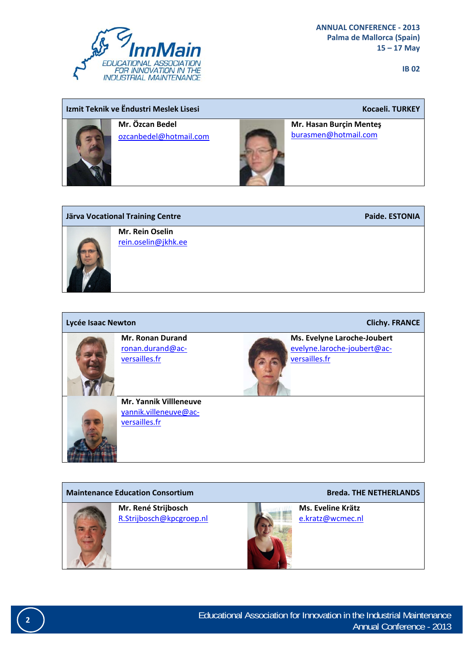

### **Izmit Teknik ve Ëndustri Meslek Lisesi Kocaeli. TURKEY**



**Mr. Özcan Bedel** ozcanbedel@hotmail.com



**Mr. Hasan Burçin Menteş**  burasmen@hotmail.com



| Lycée Isaac Newton |                                                                         | <b>Clichy. FRANCE</b>                                                       |
|--------------------|-------------------------------------------------------------------------|-----------------------------------------------------------------------------|
|                    | <b>Mr. Ronan Durand</b><br>ronan.durand@ac-<br>versailles.fr            | Ms. Evelyne Laroche-Joubert<br>evelyne.laroche-joubert@ac-<br>versailles.fr |
|                    | <b>Mr. Yannik Villleneuve</b><br>yannik.villeneuve@ac-<br>versailles.fr |                                                                             |

#### **Maintenance Education Consortium Breda. THE NETHERLANDS**



**Mr. René Strijbosch** R.Strijbosch@kpcgroep.nl



**Ms. Eveline Krätz** e.kratz@wcmec.nl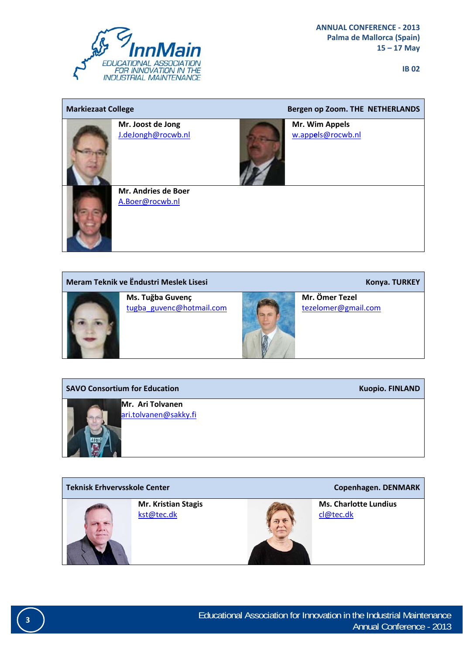

| <b>Markiezaat College</b> |                                         | Bergen op Zoom. THE NETHERLANDS     |
|---------------------------|-----------------------------------------|-------------------------------------|
|                           | Mr. Joost de Jong<br>J.deJongh@rocwb.nl | Mr. Wim Appels<br>w.appels@rocwb.nl |
|                           | Mr. Andries de Boer<br>A.Boer@rocwb.nl  |                                     |

#### **Meram Teknik ve Ëndustri Meslek Lisesi Konya. TURKEY**



**Ms. Tuğba Guvenç** tugba\_guvenc@hotmail.com



**Mr. Ömer Tezel**

tezelomer@gmail.com

### **SAVO Consortium for Education Kuopio. FINLAND**



**Mr. Ari Tolvanen** ari.tolvanen@sakky.fi

## **Teknisk Erhvervsskole Center Copenhagen. DENMARK Mr. Kristian Stagis** kst@tec.dk **Ms. Charlotte Lundius** cl@tec.dk